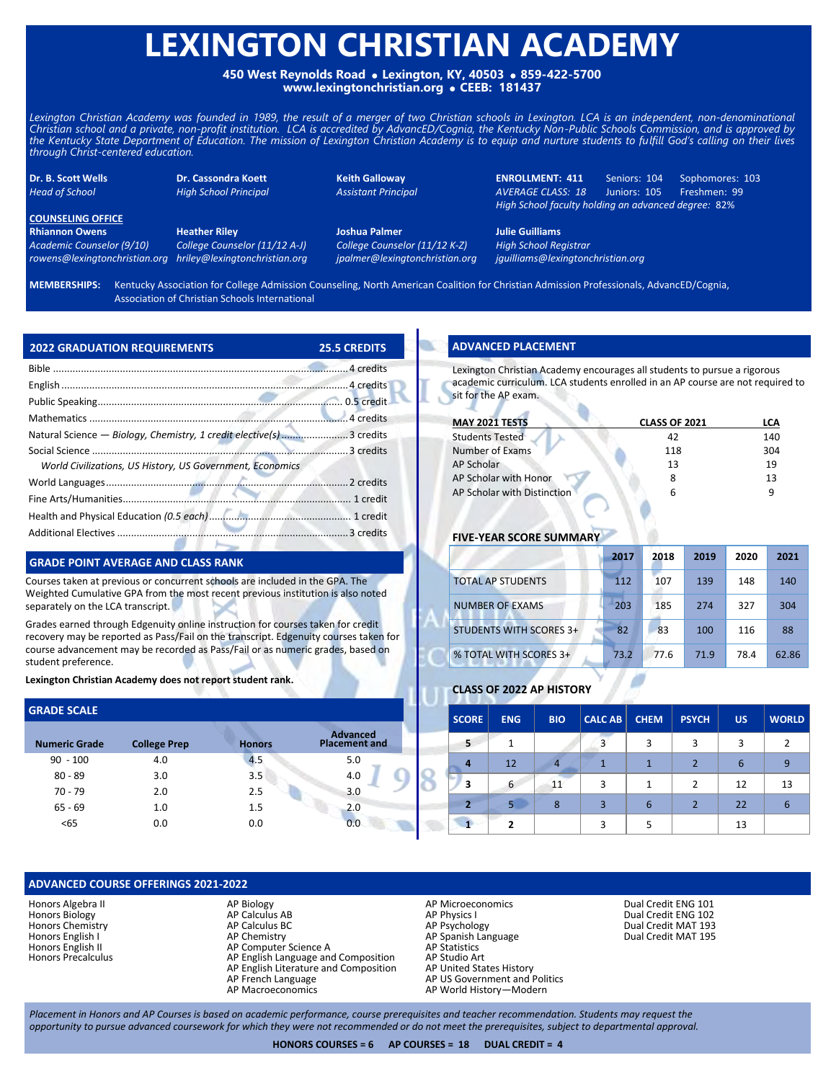# **LEXINGTON CHRISTIAN ACADEMY**

**450 West Reynolds Road Lexington, KY, 40503 859-422-5700 www.lexingtonchristian.org CEEB: 181437**

Lexington Christian Academy was founded in 1989, the result of a merger of two Christian schools in Lexington. LCA is an independent, non-denominational *Christian school and a private, non-profit institution. LCA is accredited by AdvancED/Cognia, the Kentucky Non-Public Schools Commission, and is approved by the Kentucky State Department of Education. The mission of Lexington Christian Academy is to equip and nurture students to fulfill God's calling on their lives through Christ-centered education.*

**Dr. B. Scott Wells Dr. Cassondra Koett Keith Galloway ENROLLMENT: 411** Seniors: 104 Sophomores: 103 *Head of School High School Principal Assistant Principal AVERAGE CLASS: 18* Juniors: 105 Freshmen: 99 *High School faculty holding an advanced degree:* 82%

**COUNSELING OFFICE Rhiannon Owens Heather Riley Joshua Palmer Julie Guilliams**

*Academic Counselor (9/10) College Counselor (11/12 A-J) College Counselor (11/12 K-Z) High School Registrar*

*rowens@lexingtonchristian.org hriley@lexingtonchristian.org jpalmer@lexingtonchristian.org jguilliams@lexingtonchristian.org*

**MEMBERSHIPS:** Kentucky Association for College Admission Counseling, North American Coalition for Christian Admission Professionals, AdvancED/Cognia, Association of Christian Schools International

| <b>2022 GRADUATION REQUIREMENTS</b>                                  | <b>25.5 CREDITS</b> |
|----------------------------------------------------------------------|---------------------|
|                                                                      |                     |
|                                                                      |                     |
|                                                                      |                     |
|                                                                      |                     |
| Natural Science - Biology, Chemistry, 1 credit elective(s) 3 credits |                     |
|                                                                      |                     |
| World Civilizations, US History, US Government, Economics            |                     |
|                                                                      |                     |
|                                                                      |                     |
|                                                                      |                     |
|                                                                      |                     |

## **GRADE POINT AVERAGE AND CLASS RANK**

Courses taken at previous or concurrent schools are included in the GPA. The Weighted Cumulative GPA from the most recent previous institution is also noted separately on the LCA transcript.

Grades earned through Edgenuity online instruction for courses taken for credit recovery may be reported as Pass/Fail on the transcript. Edgenuity courses taken for course advancement may be recorded as Pass/Fail or as numeric grades, based on student preference.

**Lexington Christian Academy does not report student rank.**

| <b>GRADE SCALE</b>   |                     |               |                                         |
|----------------------|---------------------|---------------|-----------------------------------------|
| <b>Numeric Grade</b> | <b>College Prep</b> | <b>Honors</b> | <b>Advanced</b><br><b>Placement and</b> |
| $90 - 100$           | 4.0                 | 4.5           | 5.0                                     |
| $80 - 89$            | 3.0                 | 3.5           | 4.0                                     |
| $70 - 79$            | 2.0                 | 2.5           | 3.0                                     |
| $65 - 69$            | 1.0                 | 1.5           | 2.0                                     |
| <65                  | 0.0                 | 0.0           | 0.0                                     |

## **ADVANCED COURSE OFFERINGS 2021-2022**

Honors Algebra II Honors Biology Honors Chemistry Honors English I Honors English II Honors Precalculus

- AP Biology AP Calculus AB AP Calculus BC AP Chemistry AP Computer Science A AP English Language and Composition AP English Literature and Composition
- AP French Language
- AP Macroeconomics

**ADVANCED PLACEMENT** 

Lexington Christian Academy encourages all students to pursue a rigorous academic curriculum. LCA students enrolled in an AP course are not required to sit for the AP exam.

| <b>MAY 2021 TESTS</b>       | <b>CLASS OF 2021</b> | LCA |
|-----------------------------|----------------------|-----|
| <b>Students Tested</b>      | 42                   | 140 |
| Number of Exams             | 118                  | 304 |
| <b>AP Scholar</b>           | 13                   | 19  |
| AP Scholar with Honor       |                      | 13  |
| AP Scholar with Distinction | 6                    |     |

#### **FIVE-YEAR SCORE SUMMAR**

|                                | 2017 | 2018 | 2019 | 2020 | 2021  |
|--------------------------------|------|------|------|------|-------|
| <b>TOTAL AP STUDENTS</b>       | 112  | 107  | 139  | 148  | 140   |
| <b>NUMBER OF EXAMS</b>         | 203  | 185  | 274  | 327  | 304   |
| <b>STUDENTS WITH SCORES 3+</b> | 82   | 83   | 100  | 116  | 88    |
| % TOTAL WITH SCORES 3+         | 73.2 | 77.6 | 71.9 | 78.4 | 62.86 |

## **CLASS OF 2022 AP HISTORY**

| <b>SCORE</b> | <b>ENG</b>               | <b>BIO</b> | <b>CALC AB</b> | <b>CHEM</b> | <b>PSYCH</b>  | <b>US</b> | <b>WORLD</b> |
|--------------|--------------------------|------------|----------------|-------------|---------------|-----------|--------------|
| 5            |                          |            | 3              | 3           | 3             | 3         | 2            |
|              | 12                       | 4          |                |             |               | 6         | 9            |
| 3            | 6                        | 11         | 3              | 1           | $\mathcal{P}$ | 12        | 13           |
|              |                          | 8          | 3              | 6           |               | 22        | 6            |
|              | $\overline{\phantom{a}}$ |            | 3              | 5           |               | 13        |              |

AP Microeconomics AP Physics I

- AP Psychology AP Spanish Language
- 
- AP Statistics AP Studio Art
- 
- AP United States History AP US Government and Politics
- AP World History—Modern

Dual Credit ENG 101 Dual Credit ENG 102 Dual Credit MAT 193 Dual Credit MAT 195

*Placement in Honors and AP Courses is based on academic performance, course prerequisites and teacher recommendation. Students may request the opportunity to pursue advanced coursework for which they were not recommended or do not meet the prerequisites, subject to departmental approval.*